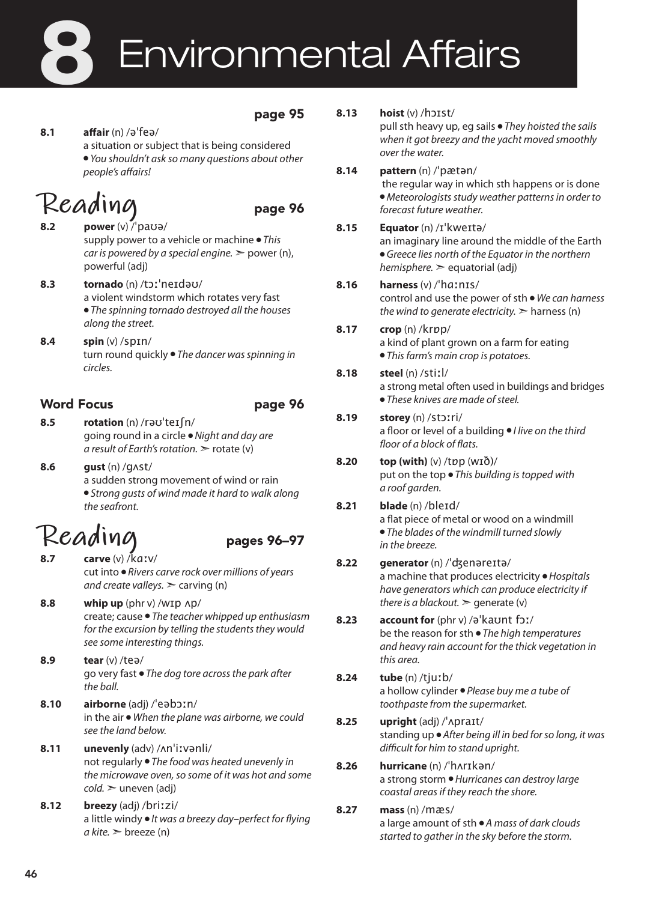# Environmental Affairs 8

#### page 95

#### **8.1 affair** (n) /əˈfeə/

a situation or subject that is being considered

● *You shouldn't ask so many questions about other people's affairs!* 

## **Reading** page 96

**8.2 power** (v) /ˈpaʊə/ supply power to a vehicle or machine ● *This car is powered by a special engine.* ➣ power (n), powerful (adj)

- **8.3 tornado** (n) /tɔːˈneɪdəʊ/ a violent windstorm which rotates very fast ● *The spinning tornado destroyed all the houses along the street.*
- **8.4 spin** (v) /spɪn/ turn round quickly ● *The dancer was spinning in circles.*

### Word Focus **page 96**

- **8.5 rotation** (n) /rəʊˈteɪʃn/ going round in a circle ● *Night and day are a result of Earth's rotation.* ➣ rotate (v)
- **8.6 gust** (n) /gʌst/ a sudden strong movement of wind or rain ● *Strong gusts of wind made it hard to walk along the seafront.*

## **Reading** pages 96–97

- **8.7 carve** (v) /kɑːv/ cut into ● *Rivers carve rock over millions of years and create valleys.*  $\geq$  carving (n)
- **8.8 whip up** (phr v) /wɪp ʌp/ create; cause ● *The teacher whipped up enthusiasm for the excursion by telling the students they would see some interesting things.*
- **8.9 tear** (v) /teə/ go very fast ● *The dog tore across the park after the ball.*
- **8.10 airborne** (adj) /ˈeəbɔːn/ in the air ● *When the plane was airborne, we could see the land below.*
- **8.11 unevenly** (adv) /ʌnˈiːvənli/ not regularly ● *The food was heated unevenly in the microwave oven, so some of it was hot and some cold.* ➣ uneven (adj)
- **8.12 breezy** (adj) /briːzi/ a little windy ● *It was a breezy day–perfect for flying*   $a$  kite.  $\geq$  breeze (n)

| 8.13 |  | $host(v)$ /hoist/ |  |
|------|--|-------------------|--|
|      |  |                   |  |

pull sth heavy up, eg sails ● *They hoisted the sails when it got breezy and the yacht moved smoothly over the water.*

**8.14 pattern** (n) /ˈpætən/ the regular way in which sth happens or is done ● *Meteorologists study weather patterns in order to forecast future weather.*

#### **8.15 Equator** (n) /ɪˈkweɪtə/ an imaginary line around the middle of the Earth

● *Greece lies north of the Equator in the northern hemisphere.* ➣ equatorial (adj)

- **8.16 harness** (v) /ˈhɑːnɪs/ control and use the power of sth ● *We can harness the wind to generate electricity.*  $\geq$  harness (n)
- **8.17 crop** (n) /krɒp/ a kind of plant grown on a farm for eating ● *This farm's main crop is potatoes.*
- **8.18 steel** (n) /stiːl/ a strong metal often used in buildings and bridges ● *These knives are made of steel.*

#### **8.19 storey** (n) /stɔːri/ a floor or level of a building ● *I live on the third floor of a block of flats.*

#### **8.20 top (with)** (v) /tɒp (wɪð)/ put on the top ● *This building is topped with a roof garden.*

**8.21 blade** (n) /bleɪd/ a flat piece of metal or wood on a windmill ● *The blades of the windmill turned slowly in the breeze.*

#### **8.22 generator** (n) /ˈʤenəreɪtə/ a machine that produces electricity ● *Hospitals have generators which can produce electricity if there is a blackout.*  $\geq$  generate (v)

- **8.23 account for** (phr v) /əˈkaʊnt fɔː/ be the reason for sth ● *The high temperatures and heavy rain account for the thick vegetation in this area.*
- **8.24 tube** (n) /tjuːb/ a hollow cylinder ● *Please buy me a tube of toothpaste from the supermarket.*
- **8.25 upright** (adj) /ˈʌpraɪt/ standing up ● *After being ill in bed for so long, it was difficult for him to stand upright.*

#### **8.26 hurricane** (n) /ˈhʌrɪkən/ a strong storm ● *Hurricanes can destroy large coastal areas if they reach the shore.*

**8.27 mass** (n) /mæs/ a large amount of sth ● *A mass of dark clouds started to gather in the sky before the storm.*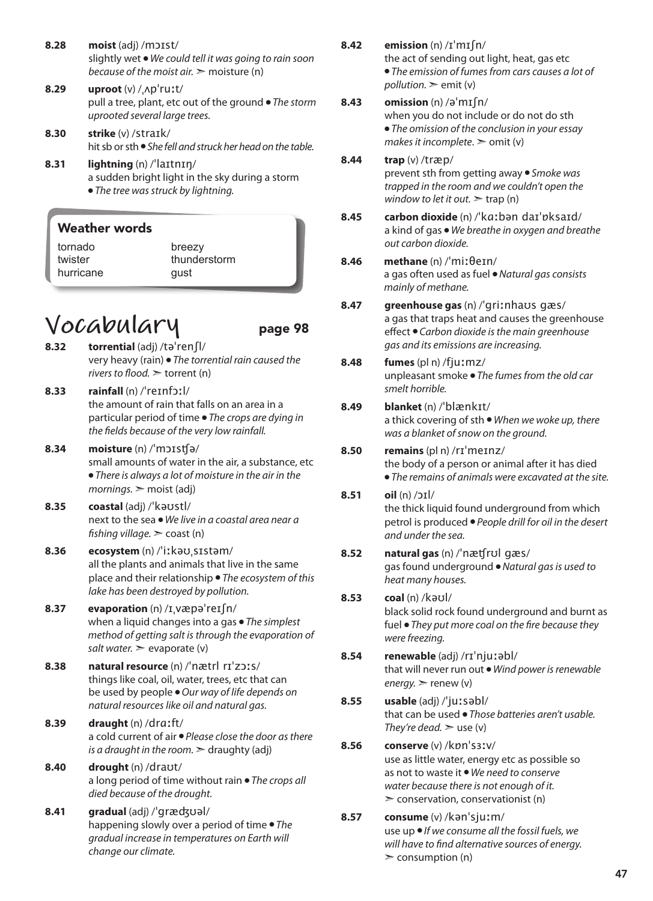- **8.28 moist** (adj) /mɔɪst/ slightly wet ● *We could tell it was going to rain soon because of the moist air.* ➣ moisture (n)
- **8.29 uproot** (v) /ˌʌpˈruːt/ pull a tree, plant, etc out of the ground ● *The storm uprooted several large trees.*
- **8.30 strike** (v) /straɪk/ hit sb or sth ● *She fell and struck her head on the table.*
- **8.31 lightning** (n) /ˈlaɪtnɪŋ/ a sudden bright light in the sky during a storm ● *The tree was struck by lightning.*

| <b>Weather words</b> |  |
|----------------------|--|
| tornado              |  |
| $++$                 |  |

twister hurricane

breezy thunderstorm gust

## **Vocabulary** page 98

- **8.32 torrential** (adj) /təˈrenʃl/ very heavy (rain) ● *The torrential rain caused the rivers to flood.* ➣ torrent (n)
- **8.33 rainfall** (n) /ˈreɪnfɔːl/ the amount of rain that falls on an area in a particular period of time ● *The crops are dying in the fields because of the very low rainfall.*
- **8.34 moisture** (n) /ˈmɔɪsʧə/ small amounts of water in the air, a substance, etc ● *There is always a lot of moisture in the air in the mornings.* ➣ moist (adj)
- **8.35 coastal** (adj) /ˈkəʊstl/ next to the sea ● *We live in a coastal area near a fishing village.* ➣ coast (n)
- **8.36 ecosystem** (n) /ˈiːkəʊˌsɪstəm/ all the plants and animals that live in the same place and their relationship ● *The ecosystem of this lake has been destroyed by pollution.*
- **8.37 evaporation** (n) /ɪˌvæpəˈreɪʃn/ when a liquid changes into a gas ● *The simplest method of getting salt is through the evaporation of salt water.*  $\ge$  evaporate (v)
- **8.38 natural resource** (n) /ˈnætrl rɪˈzɔːs/ things like coal, oil, water, trees, etc that can be used by people ● *Our way of life depends on natural resources like oil and natural gas.*
- **8.39 draught** (n) /drɑːft/ a cold current of air ● *Please close the door as there is a draught in the room.*  $\geq$  draughty (adj)
- **8.40 drought** (n) /draʊt/ a long period of time without rain ● *The crops all died because of the drought.*
- **8.41 gradual** (adj) /ˈgræʤʊəl/ happening slowly over a period of time ● *The gradual increase in temperatures on Earth will change our climate.*

**8.42 emission** (n) /ɪˈmɪʃn/

the act of sending out light, heat, gas etc ● *The emission of fumes from cars causes a lot of*   $p$ *pollution.*  $\ge$  emit (v)

#### **8.43 omission** (n) /əˈmɪʃn/

when you do not include or do not do sth ● *The omission of the conclusion in your essay makes it incomplete*. ➣ omit (v)

- **8.44 trap** (v) /træp/ prevent sth from getting away ● *Smoke was trapped in the room and we couldn't open the window to let it out.*  $\geq$  trap (n)
- **8.45 carbon dioxide** (n) /ˈkɑːbən daɪˈɒksaɪd/ a kind of gas ● *We breathe in oxygen and breathe out carbon dioxide.*
- **8.46 methane** (n) /ˈmiːθeɪn/ a gas often used as fuel ● *Natural gas consists mainly of methane.*
- **8.47 greenhouse gas** (n) /ˈgriːnhaʊs gæs/ a gas that traps heat and causes the greenhouse effect ● *Carbon dioxide is the main greenhouse gas and its emissions are increasing.*

#### **8.48 fumes** (pl n) /fjuːmz/ unpleasant smoke ● *The fumes from the old car smelt horrible.*

**8.49 blanket** (n) /ˈblænkɪt/

a thick covering of sth ● *When we woke up, there was a blanket of snow on the ground.* 

**8.50 remains** (pl n) /rɪˈmeɪnz/ the body of a person or animal after it has died ● *The remains of animals were excavated at the site.* 

#### **8.51 oil** (n) /ɔɪl/ the thick liquid found underground from which petrol is produced ● *People drill for oil in the desert and under the sea.*

#### **8.52 natural gas** (n) /ˈnæʧrʊl gæs/ gas found underground ● *Natural gas is used to heat many houses.*

**8.53 coal** (n) /kəʊl/

black solid rock found underground and burnt as fuel ● *They put more coal on the fire because they were freezing.*

**8.54 renewable** (adj) /rɪˈnjuːəbl/ that will never run out ● *Wind power is renewable energy.* ➣ renew (v)

#### **8.55 usable** (adj) /ˈjuːsəbl/ that can be used ● *Those batteries aren't usable. They're dead.*  $\geq$  use (v)

#### **8.56 conserve** (v) /kɒnˈsɜːv/ use as little water, energy etc as possible so as not to waste it ● *We need to conserve water because there is not enough of it.*  $\geq$  conservation, conservationist (n)

**8.57 consume** (v) /kənˈsjuːm/ use up ● *If we consume all the fossil fuels, we will have to find alternative sources of energy.*  $\geq$  consumption (n)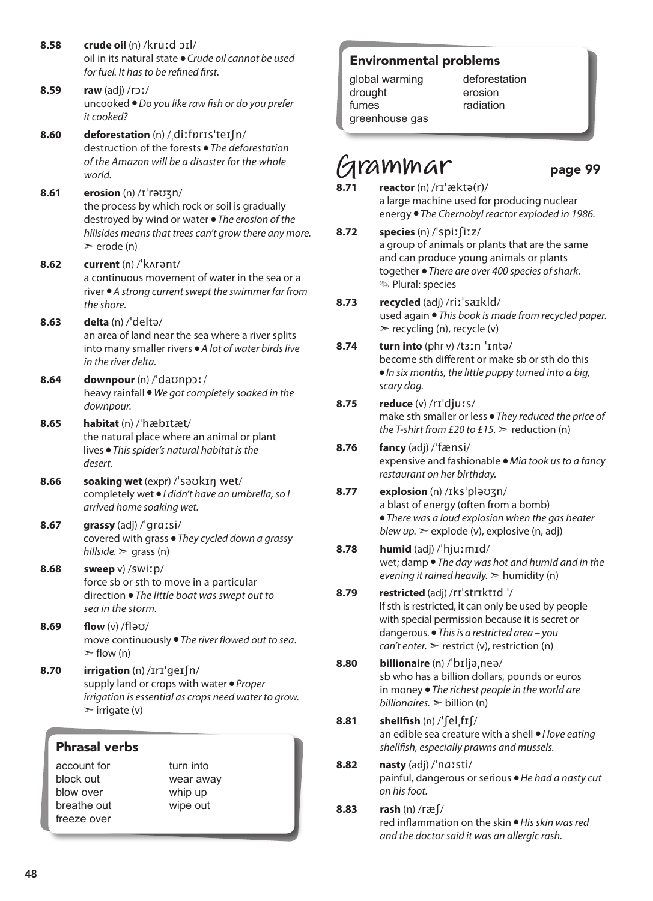- **8.58 crude oil** (n) /kruːd ɔɪl/ oil in its natural state ● *Crude oil cannot be used for fuel. It has to be refined first.*
- **8.59 raw** (adj) /rɔː/ uncooked ● *Do you like raw fish or do you prefer it cooked?*
- **8.60 deforestation** (n) /ˌdiːfɒrɪsˈteɪʃn/ destruction of the forests ● *The deforestation of the Amazon will be a disaster for the whole world.*
- **8.61 erosion** (n) /ɪˈrəʊʒn/ the process by which rock or soil is gradually destroyed by wind or water ● *The erosion of the hillsides means that trees can't grow there any more.*  $\ge$  erode (n)
- **8.62 current** (n) /ˈkʌrənt/ a continuous movement of water in the sea or a river ● *A strong current swept the swimmer far from the shore.*
- **8.63 delta** (n) /ˈdeltə/ an area of land near the sea where a river splits into many smaller rivers ● *A lot of water birds live in the river delta.*
- **8.64 downpour** (n) /ˈdaʊnpɔː/ heavy rainfall ● *We got completely soaked in the downpour.*
- **8.65 habitat** (n) /ˈhæbɪtæt/ the natural place where an animal or plant lives ● *This spider's natural habitat is the desert.*
- **8.66 soaking wet** (expr) /ˈsəʊkɪŋ wet/ completely wet ● *I didn't have an umbrella, so I arrived home soaking wet.*
- **8.67 grassy** (adj) /ˈɡrɑːsi/ covered with grass ● *They cycled down a grassy hillside.*  $\ge$  grass (n)
- **8.68 sweep** v) /swiːp/ force sb or sth to move in a particular direction ● *The little boat was swept out to sea in the storm.*
- **8.69 flow** (v) /fləʊ/ move continuously ● *The river flowed out to sea*.  $\geq$  flow (n)
- **8.70 irrigation** (n) /ɪrɪˈgeɪʃn/ supply land or crops with water ● *Proper irrigation is essential as crops need water to grow.*  $\triangleright$  irrigate (v)

### Phrasal verbs

account for block out blow over breathe out freeze over

turn into wear away whip up wipe out

### Environmental problems

global warming drought fumes greenhouse gas deforestation erosion radiation

## **Grammar** page 99

- **8.71 reactor** (n) /rɪˈæktə(r)/ a large machine used for producing nuclear energy ● *The Chernobyl reactor exploded in 1986.*
- **8.72 species** (n) /ˈspiːʃiːz/ a group of animals or plants that are the same and can produce young animals or plants together ● *There are over 400 species of shark.* ✎ Plural: species
- **8.73 recycled** (adj) /riːˈsaɪkld/ used again ● *This book is made from recycled paper.*  $\triangleright$  recycling (n), recycle (y)
- **8.74 turn into** (phr v) /tɜːn ˈɪntə/ become sth different or make sb or sth do this ● *In six months, the little puppy turned into a big, scary dog.*
- **8.75 reduce** (v) /rɪˈdjuːs/ make sth smaller or less ● *They reduced the price of the T-shirt from £20 to £15.*  $\geq$  reduction (n)
- **8.76 fancy** (adj) /ˈfænsi/ expensive and fashionable ● *Mia took us to a fancy restaurant on her birthday.*
- **8.77 explosion** (n) /ɪksˈpləʊʒn/ a blast of energy (often from a bomb) ● *There was a loud explosion when the gas heater blew up.* ➣ explode (v), explosive (n, adj)

#### **8.78 humid** (adj) /ˈhjuːmɪd/ wet; damp ● *The day was hot and humid and in the evening it rained heavily.* ➣ humidity (n)

- **8.79 restricted** (adj) /rɪˈstrɪktɪd ˈ/ If sth is restricted, it can only be used by people with special permission because it is secret or dangerous. ● *This is a restricted area – you can't enter.* ► restrict (v), restriction (n)
- **8.80 billionaire** (n) /ˈbɪljəˌneə/ sb who has a billion dollars, pounds or euros in money ● *The richest people in the world are billionaires.* ➣ billion (n)
- **8.81 shellfish** (n) /ˈʃelˌfɪʃ/ an edible sea creature with a shell ● *I love eating shellfish, especially prawns and mussels.*
- **8.82 nasty** (adj) /ˈnɑːsti/ painful, dangerous or serious ● *He had a nasty cut on his foot.*
- **8.83 rash** (n) /ræʃ/ red inflammation on the skin ● *His skin was red and the doctor said it was an allergic rash.*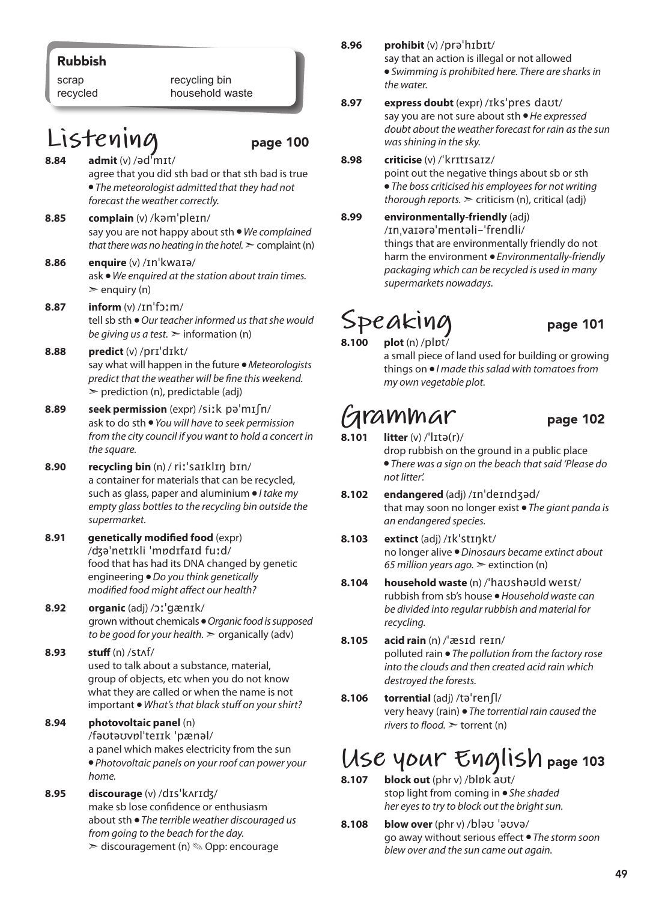### Rubbish

scrap recycled recycling bin household waste

### **Listening** page 100

- **8.84 admit** (v) /ədˈmɪt/ agree that you did sth bad or that sth bad is true ● *The meteorologist admitted that they had not forecast the weather correctly.*
- **8.85 complain** (v) /kəmˈpleɪn/ say you are not happy about sth ● *We complained that there was no heating in the hotel.*  $\geq$  complaint (n)
- **8.86 enquire** (v) /ɪnˈkwaɪə/ ask ● *We enquired at the station about train times.*   $\ge$  enquiry (n)
- **8.87 inform** (v) /ɪnˈfɔːm/ tell sb sth ● *Our teacher informed us that she would be giving us a test.*  $\geq$  information (n)
- **8.88 predict** (v) /prɪˈdɪkt/ say what will happen in the future ● *Meteorologists predict that the weather will be fine this weekend.*  $\triangleright$  prediction (n), predictable (adj)
- **8.89 seek permission** (expr) /siːk pəˈmɪʃn/ ask to do sth ● *You will have to seek permission from the city council if you want to hold a concert in the square.*
- **8.90 recycling bin** (n) / riːˈsaɪklɪŋ bɪn/ a container for materials that can be recycled, such as glass, paper and aluminium ● *I take my empty glass bottles to the recycling bin outside the supermarket.*
- **8.91 genetically modified food** (expr) /ʤəˈnetɪkli ˈmɒdɪfaɪd fuːd/ food that has had its DNA changed by genetic engineering ● *Do you think genetically modified food might affect our health?*
- **8.92 organic** (adj) /ɔːˈgænɪk/ grown without chemicals ● *Organic food is supposed to be good for your health.* ➣ organically (adv)
- **8.93 stuff** (n) /stʌf/ used to talk about a substance, material, group of objects, etc when you do not know what they are called or when the name is not important ● *What's that black stuff on your shirt?*
- **8.94 photovoltaic panel** (n)

/fəʊtəʊvɒlˈteɪɪk ˈpænəl/

a panel which makes electricity from the sun ● *Photovoltaic panels on your roof can power your home.*

**8.95 discourage** (v) /dɪsˈkʌrɪʤ/ make sb lose confidence or enthusiasm about sth ● *The terrible weather discouraged us from going to the beach for the day.*  ➣ discouragement (n) ✎ Opp: encourage

- **8.96 prohibit** (v) /prəˈhɪbɪt/ say that an action is illegal or not allowed
	- *Swimming is prohibited here. There are sharks in the water.*
- **8.97 express doubt** (expr) /ɪksˈpres daʊt/ say you are not sure about sth ● *He expressed doubt about the weather forecast for rain as the sun was shining in the sky.*

#### **8.98 criticise** (v) /ˈkrɪtɪsaɪz/

point out the negative things about sb or sth ● *The boss criticised his employees for not writing thorough reports.* ➣ criticism (n), critical (adj)

**8.99 environmentally-friendly** (adj) /ɪnˌvaɪərəˈmentəli-ˈfrendli/ things that are environmentally friendly do not harm the environment ● *Environmentally-friendly packaging which can be recycled is used in many supermarkets nowadays.*

# $Speak$ ing<br>8.100 plot (n) /plpt/

**plot** (n) /plpt/ a small piece of land used for building or growing things on ● *I made this salad with tomatoes from my own vegetable plot.*

 $G$ **rammar** page 102<br>8.101 litter (v) /<sup>1</sup>lɪtə(r)/ **8.101 litter** (v) /ˈlɪtə(r)/ drop rubbish on the ground in a public place

● *There was a sign on the beach that said 'Please do not litter'.* 

- **8.102 endangered** (adj) /ɪnˈdeɪndʒəd/ that may soon no longer exist ● *The giant panda is an endangered species.*
- **8.103 extinct** (adj) /ɪkˈstɪŋkt/ no longer alive ● *Dinosaurs became extinct about 65 million years ago.* ➣ extinction (n)
- **8.104 household waste** (n) /ˈhaʊshəʊld weɪst/ rubbish from sb's house ● *Household waste can be divided into regular rubbish and material for recycling.*
- **8.105 acid rain** (n) /ˈæsɪd reɪn/ polluted rain ● *The pollution from the factory rose into the clouds and then created acid rain which destroyed the forests.*
- **8.106 torrential** (adj) /təˈrenʃl/ very heavy (rain) ● *The torrential rain caused the rivers to flood.* ➣ torrent (n)

## **Use your English** page 103

- **8.107 block out** (phr v) /blɒk aʊt/ stop light from coming in ● *She shaded her eyes to try to block out the bright sun.*
- **8.108 blow over** (phr v) /bləʊ ˈəʊvə/ go away without serious effect ● *The storm soon blew over and the sun came out again.*